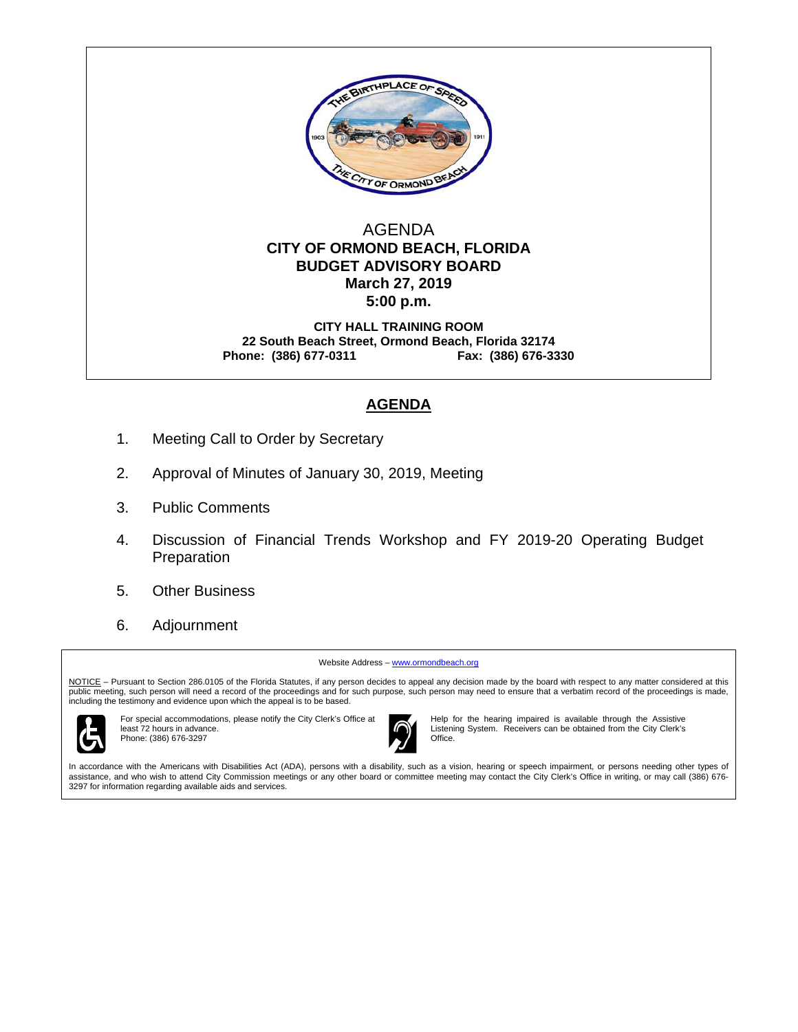

## AGENDA  **CITY OF ORMOND BEACH, FLORIDA BUDGET ADVISORY BOARD March 27, 2019 5:00 p.m.**

**CITY HALL TRAINING ROOM 22 South Beach Street, Ormond Beach, Florida 32174 Phone: (386) 677-0311 Fax: (386) 676-3330** 

## **AGENDA**

- 1. Meeting Call to Order by Secretary
- 2. Approval of Minutes of January 30, 2019, Meeting
- 3. Public Comments
- 4. Discussion of Financial Trends Workshop and FY 2019-20 Operating Budget Preparation
- 5. Other Business
- 6. Adjournment

Website Address - www.ormondbeach.org

NOTICE – Pursuant to Section 286.0105 of the Florida Statutes, if any person decides to appeal any decision made by the board with respect to any matter considered at this public meeting, such person will need a record of the proceedings and for such purpose, such person may need to ensure that a verbatim record of the proceedings is made, including the testimony and evidence upon which the appeal is to be based.



For special accommodations, please notify the City Clerk's Office at least 72 hours in advance. Phone: (386) 676-3297



Help for the hearing impaired is available through the Assistive Listening System. Receivers can be obtained from the City Clerk's

In accordance with the Americans with Disabilities Act (ADA), persons with a disability, such as a vision, hearing or speech impairment, or persons needing other types of assistance, and who wish to attend City Commission meetings or any other board or committee meeting may contact the City Clerk's Office in writing, or may call (386) 676- 3297 for information regarding available aids and services.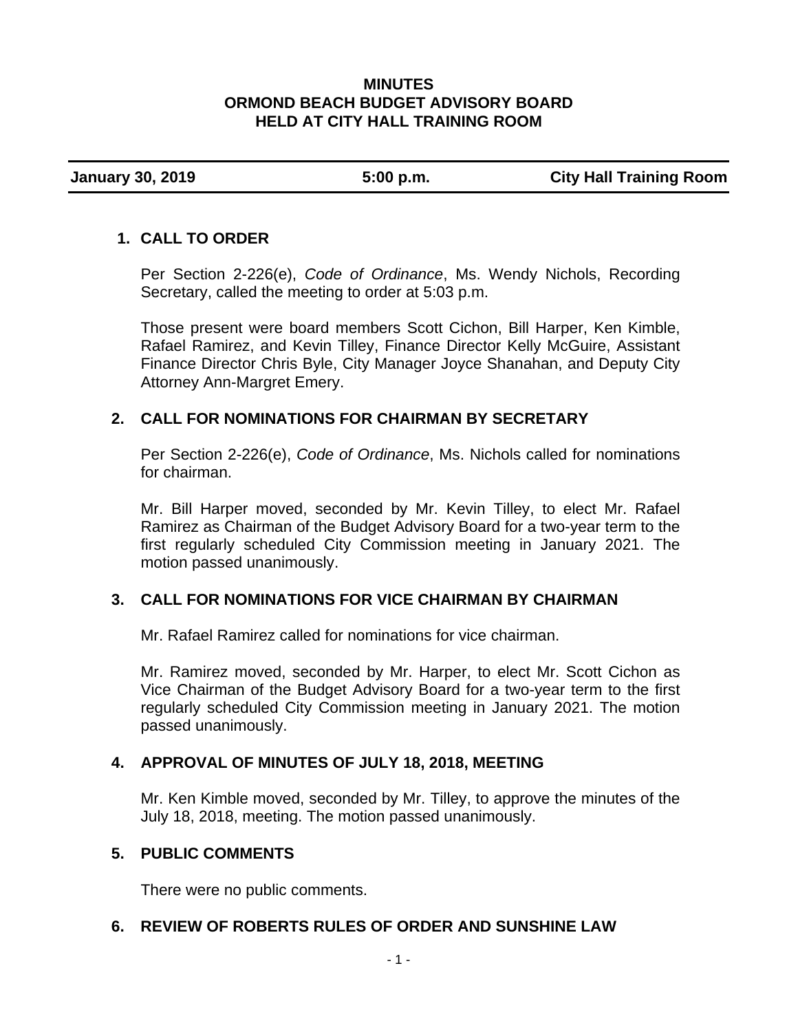## **MINUTES ORMOND BEACH BUDGET ADVISORY BOARD HELD AT CITY HALL TRAINING ROOM**

**January 30, 2019 5:00 p.m. City Hall Training Room** 

# **1. CALL TO ORDER**

Per Section 2-226(e), *Code of Ordinance*, Ms. Wendy Nichols, Recording Secretary, called the meeting to order at 5:03 p.m.

Those present were board members Scott Cichon, Bill Harper, Ken Kimble, Rafael Ramirez, and Kevin Tilley, Finance Director Kelly McGuire, Assistant Finance Director Chris Byle, City Manager Joyce Shanahan, and Deputy City Attorney Ann-Margret Emery.

# **2. CALL FOR NOMINATIONS FOR CHAIRMAN BY SECRETARY**

Per Section 2-226(e), *Code of Ordinance*, Ms. Nichols called for nominations for chairman.

Mr. Bill Harper moved, seconded by Mr. Kevin Tilley, to elect Mr. Rafael Ramirez as Chairman of the Budget Advisory Board for a two-year term to the first regularly scheduled City Commission meeting in January 2021. The motion passed unanimously.

# **3. CALL FOR NOMINATIONS FOR VICE CHAIRMAN BY CHAIRMAN**

Mr. Rafael Ramirez called for nominations for vice chairman.

Mr. Ramirez moved, seconded by Mr. Harper, to elect Mr. Scott Cichon as Vice Chairman of the Budget Advisory Board for a two-year term to the first regularly scheduled City Commission meeting in January 2021. The motion passed unanimously.

# **4. APPROVAL OF MINUTES OF JULY 18, 2018, MEETING**

Mr. Ken Kimble moved, seconded by Mr. Tilley, to approve the minutes of the July 18, 2018, meeting. The motion passed unanimously.

## **5. PUBLIC COMMENTS**

There were no public comments.

# **6. REVIEW OF ROBERTS RULES OF ORDER AND SUNSHINE LAW**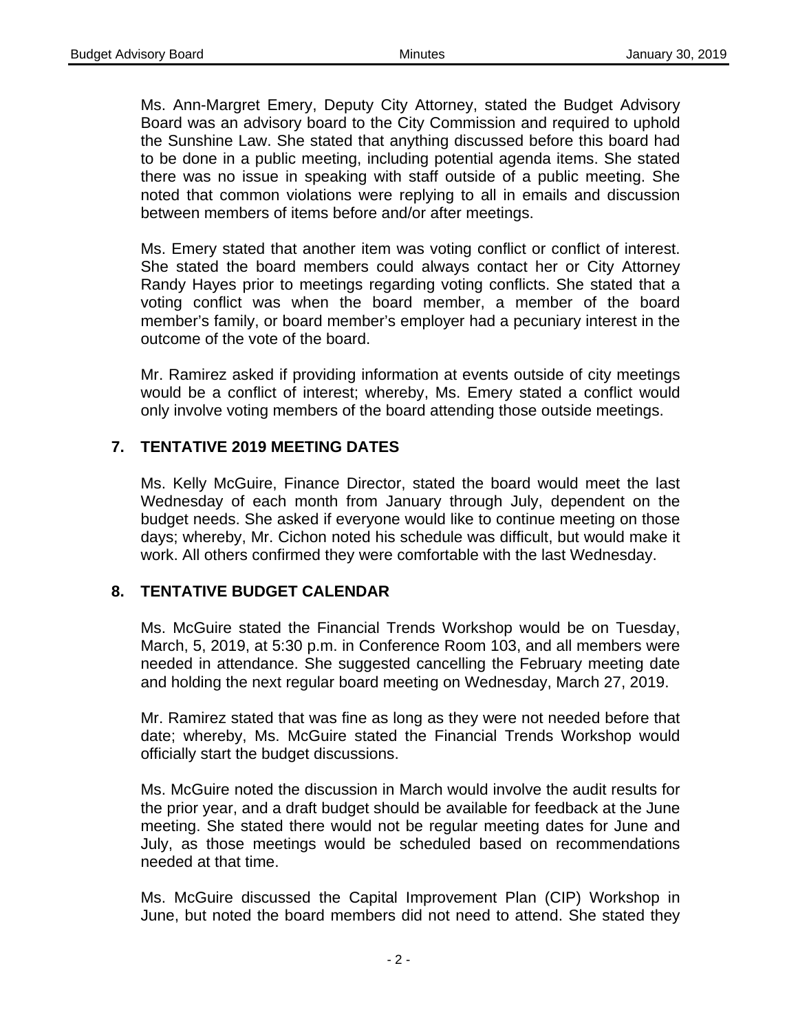Ms. Ann-Margret Emery, Deputy City Attorney, stated the Budget Advisory Board was an advisory board to the City Commission and required to uphold the Sunshine Law. She stated that anything discussed before this board had to be done in a public meeting, including potential agenda items. She stated there was no issue in speaking with staff outside of a public meeting. She noted that common violations were replying to all in emails and discussion between members of items before and/or after meetings.

Ms. Emery stated that another item was voting conflict or conflict of interest. She stated the board members could always contact her or City Attorney Randy Hayes prior to meetings regarding voting conflicts. She stated that a voting conflict was when the board member, a member of the board member's family, or board member's employer had a pecuniary interest in the outcome of the vote of the board.

Mr. Ramirez asked if providing information at events outside of city meetings would be a conflict of interest; whereby, Ms. Emery stated a conflict would only involve voting members of the board attending those outside meetings.

# **7. TENTATIVE 2019 MEETING DATES**

Ms. Kelly McGuire, Finance Director, stated the board would meet the last Wednesday of each month from January through July, dependent on the budget needs. She asked if everyone would like to continue meeting on those days; whereby, Mr. Cichon noted his schedule was difficult, but would make it work. All others confirmed they were comfortable with the last Wednesday.

## **8. TENTATIVE BUDGET CALENDAR**

Ms. McGuire stated the Financial Trends Workshop would be on Tuesday, March, 5, 2019, at 5:30 p.m. in Conference Room 103, and all members were needed in attendance. She suggested cancelling the February meeting date and holding the next regular board meeting on Wednesday, March 27, 2019.

Mr. Ramirez stated that was fine as long as they were not needed before that date; whereby, Ms. McGuire stated the Financial Trends Workshop would officially start the budget discussions.

Ms. McGuire noted the discussion in March would involve the audit results for the prior year, and a draft budget should be available for feedback at the June meeting. She stated there would not be regular meeting dates for June and July, as those meetings would be scheduled based on recommendations needed at that time.

Ms. McGuire discussed the Capital Improvement Plan (CIP) Workshop in June, but noted the board members did not need to attend. She stated they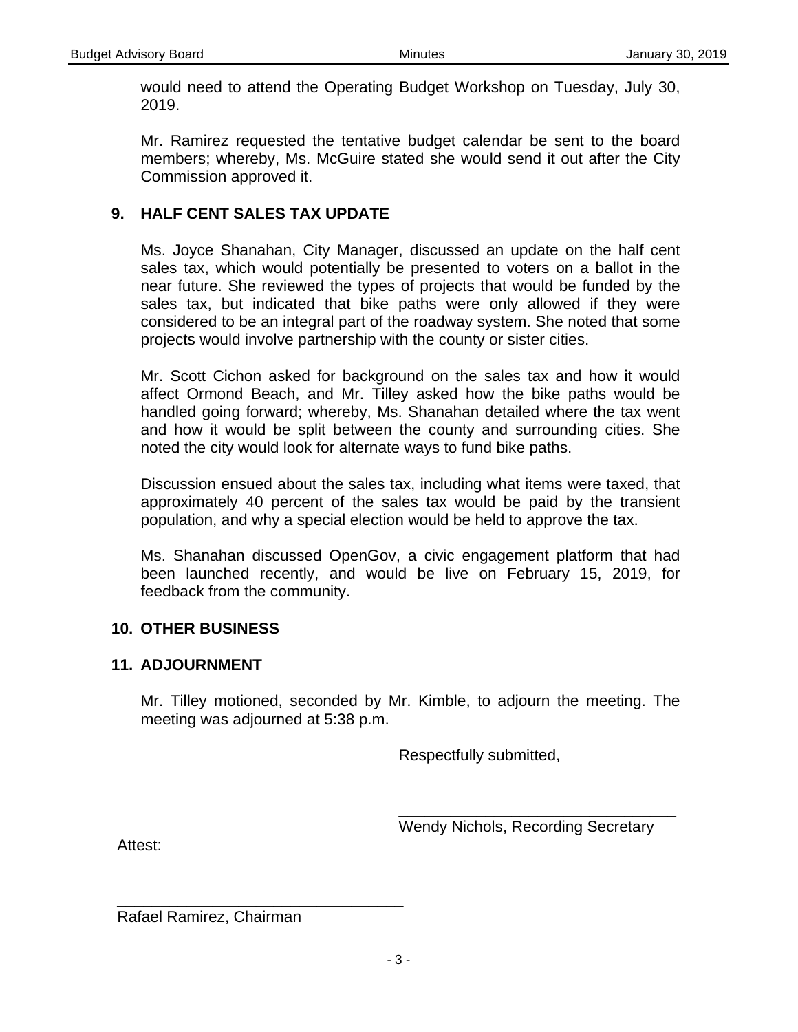would need to attend the Operating Budget Workshop on Tuesday, July 30, 2019.

Mr. Ramirez requested the tentative budget calendar be sent to the board members; whereby, Ms. McGuire stated she would send it out after the City Commission approved it.

# **9. HALF CENT SALES TAX UPDATE**

Ms. Joyce Shanahan, City Manager, discussed an update on the half cent sales tax, which would potentially be presented to voters on a ballot in the near future. She reviewed the types of projects that would be funded by the sales tax, but indicated that bike paths were only allowed if they were considered to be an integral part of the roadway system. She noted that some projects would involve partnership with the county or sister cities.

Mr. Scott Cichon asked for background on the sales tax and how it would affect Ormond Beach, and Mr. Tilley asked how the bike paths would be handled going forward; whereby, Ms. Shanahan detailed where the tax went and how it would be split between the county and surrounding cities. She noted the city would look for alternate ways to fund bike paths.

Discussion ensued about the sales tax, including what items were taxed, that approximately 40 percent of the sales tax would be paid by the transient population, and why a special election would be held to approve the tax.

Ms. Shanahan discussed OpenGov, a civic engagement platform that had been launched recently, and would be live on February 15, 2019, for feedback from the community.

## **10. OTHER BUSINESS**

## **11. ADJOURNMENT**

Mr. Tilley motioned, seconded by Mr. Kimble, to adjourn the meeting. The meeting was adjourned at 5:38 p.m.

Respectfully submitted,

Wendy Nichols, Recording Secretary

\_\_\_\_\_\_\_\_\_\_\_\_\_\_\_\_\_\_\_\_\_\_\_\_\_\_\_\_\_\_\_\_

Attest:

Rafael Ramirez, Chairman

\_\_\_\_\_\_\_\_\_\_\_\_\_\_\_\_\_\_\_\_\_\_\_\_\_\_\_\_\_\_\_\_\_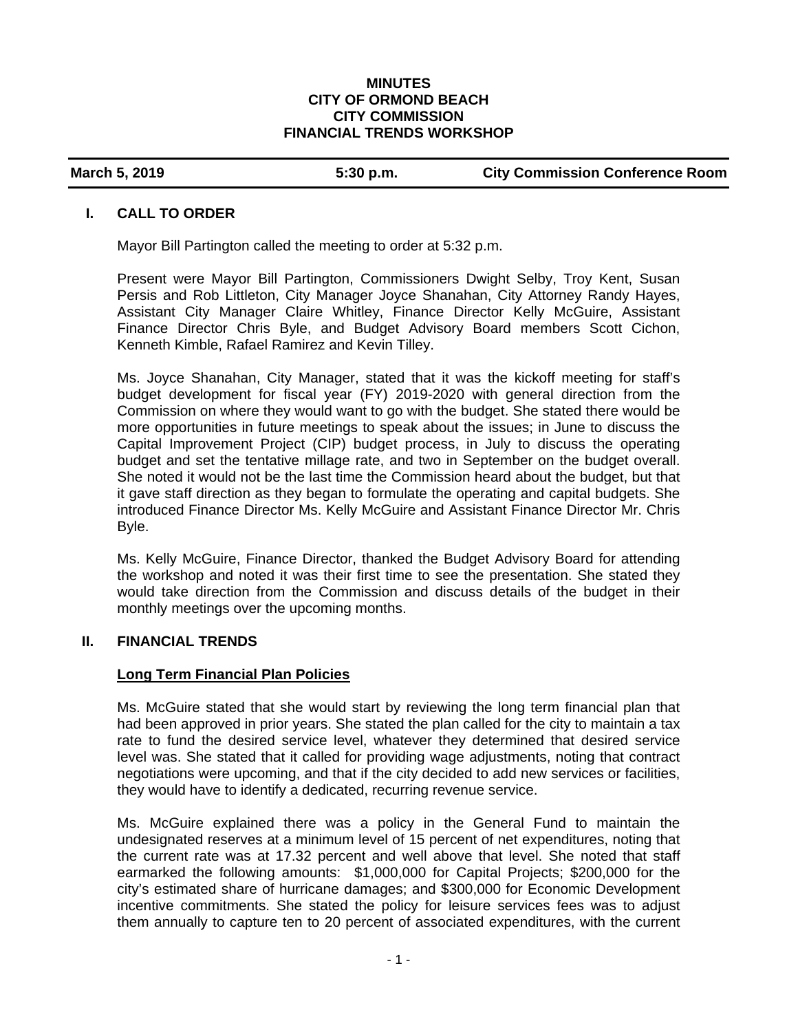### **MINUTES CITY OF ORMOND BEACH CITY COMMISSION FINANCIAL TRENDS WORKSHOP**

### **March 5, 2019 5:30 p.m. City Commission Conference Room**

### **I. CALL TO ORDER**

Mayor Bill Partington called the meeting to order at 5:32 p.m.

Present were Mayor Bill Partington, Commissioners Dwight Selby, Troy Kent, Susan Persis and Rob Littleton, City Manager Joyce Shanahan, City Attorney Randy Hayes, Assistant City Manager Claire Whitley, Finance Director Kelly McGuire, Assistant Finance Director Chris Byle, and Budget Advisory Board members Scott Cichon, Kenneth Kimble, Rafael Ramirez and Kevin Tilley.

Ms. Joyce Shanahan, City Manager, stated that it was the kickoff meeting for staff's budget development for fiscal year (FY) 2019-2020 with general direction from the Commission on where they would want to go with the budget. She stated there would be more opportunities in future meetings to speak about the issues; in June to discuss the Capital Improvement Project (CIP) budget process, in July to discuss the operating budget and set the tentative millage rate, and two in September on the budget overall. She noted it would not be the last time the Commission heard about the budget, but that it gave staff direction as they began to formulate the operating and capital budgets. She introduced Finance Director Ms. Kelly McGuire and Assistant Finance Director Mr. Chris Byle.

Ms. Kelly McGuire, Finance Director, thanked the Budget Advisory Board for attending the workshop and noted it was their first time to see the presentation. She stated they would take direction from the Commission and discuss details of the budget in their monthly meetings over the upcoming months.

### **II. FINANCIAL TRENDS**

### **Long Term Financial Plan Policies**

Ms. McGuire stated that she would start by reviewing the long term financial plan that had been approved in prior years. She stated the plan called for the city to maintain a tax rate to fund the desired service level, whatever they determined that desired service level was. She stated that it called for providing wage adjustments, noting that contract negotiations were upcoming, and that if the city decided to add new services or facilities, they would have to identify a dedicated, recurring revenue service.

Ms. McGuire explained there was a policy in the General Fund to maintain the undesignated reserves at a minimum level of 15 percent of net expenditures, noting that the current rate was at 17.32 percent and well above that level. She noted that staff earmarked the following amounts: \$1,000,000 for Capital Projects; \$200,000 for the city's estimated share of hurricane damages; and \$300,000 for Economic Development incentive commitments. She stated the policy for leisure services fees was to adjust them annually to capture ten to 20 percent of associated expenditures, with the current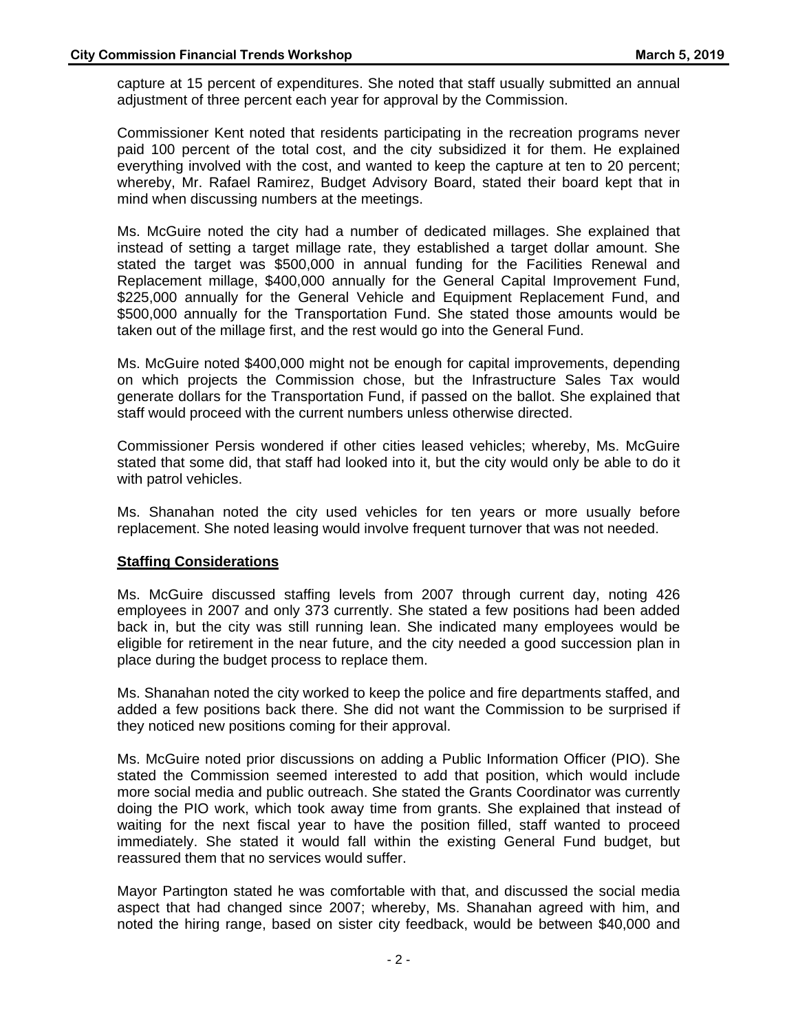capture at 15 percent of expenditures. She noted that staff usually submitted an annual adjustment of three percent each year for approval by the Commission.

Commissioner Kent noted that residents participating in the recreation programs never paid 100 percent of the total cost, and the city subsidized it for them. He explained everything involved with the cost, and wanted to keep the capture at ten to 20 percent; whereby, Mr. Rafael Ramirez, Budget Advisory Board, stated their board kept that in mind when discussing numbers at the meetings.

Ms. McGuire noted the city had a number of dedicated millages. She explained that instead of setting a target millage rate, they established a target dollar amount. She stated the target was \$500,000 in annual funding for the Facilities Renewal and Replacement millage, \$400,000 annually for the General Capital Improvement Fund, \$225,000 annually for the General Vehicle and Equipment Replacement Fund, and \$500,000 annually for the Transportation Fund. She stated those amounts would be taken out of the millage first, and the rest would go into the General Fund.

Ms. McGuire noted \$400,000 might not be enough for capital improvements, depending on which projects the Commission chose, but the Infrastructure Sales Tax would generate dollars for the Transportation Fund, if passed on the ballot. She explained that staff would proceed with the current numbers unless otherwise directed.

Commissioner Persis wondered if other cities leased vehicles; whereby, Ms. McGuire stated that some did, that staff had looked into it, but the city would only be able to do it with patrol vehicles.

Ms. Shanahan noted the city used vehicles for ten years or more usually before replacement. She noted leasing would involve frequent turnover that was not needed.

### **Staffing Considerations**

Ms. McGuire discussed staffing levels from 2007 through current day, noting 426 employees in 2007 and only 373 currently. She stated a few positions had been added back in, but the city was still running lean. She indicated many employees would be eligible for retirement in the near future, and the city needed a good succession plan in place during the budget process to replace them.

Ms. Shanahan noted the city worked to keep the police and fire departments staffed, and added a few positions back there. She did not want the Commission to be surprised if they noticed new positions coming for their approval.

Ms. McGuire noted prior discussions on adding a Public Information Officer (PIO). She stated the Commission seemed interested to add that position, which would include more social media and public outreach. She stated the Grants Coordinator was currently doing the PIO work, which took away time from grants. She explained that instead of waiting for the next fiscal year to have the position filled, staff wanted to proceed immediately. She stated it would fall within the existing General Fund budget, but reassured them that no services would suffer.

Mayor Partington stated he was comfortable with that, and discussed the social media aspect that had changed since 2007; whereby, Ms. Shanahan agreed with him, and noted the hiring range, based on sister city feedback, would be between \$40,000 and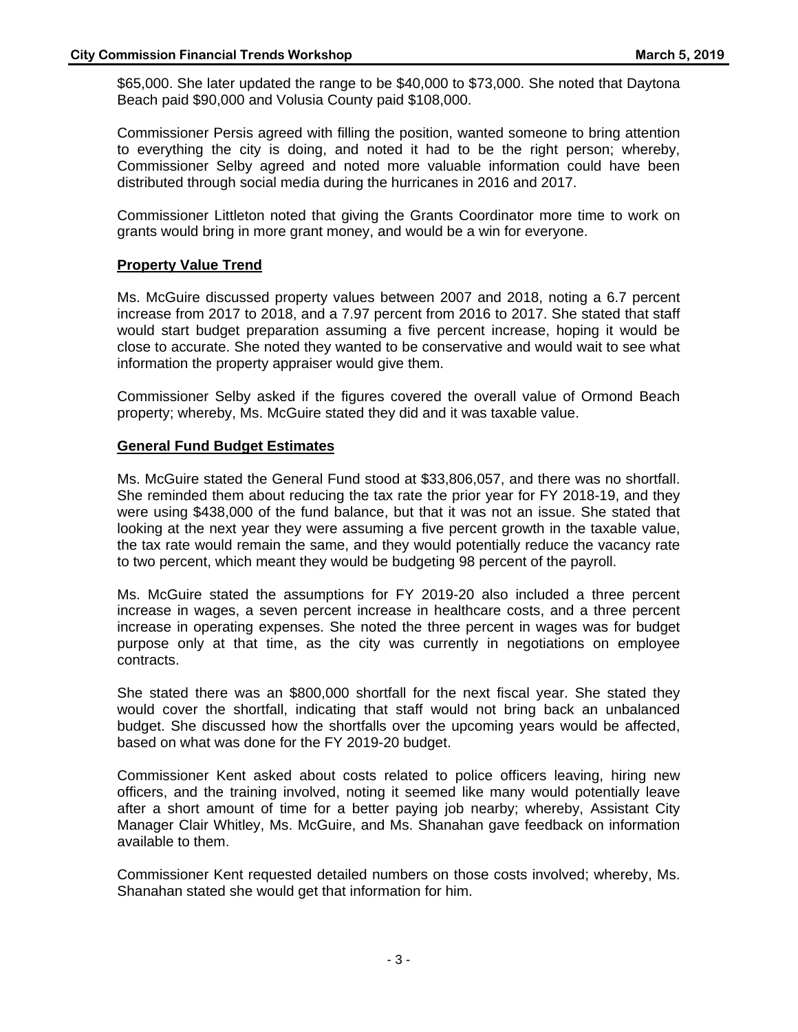\$65,000. She later updated the range to be \$40,000 to \$73,000. She noted that Daytona Beach paid \$90,000 and Volusia County paid \$108,000.

Commissioner Persis agreed with filling the position, wanted someone to bring attention to everything the city is doing, and noted it had to be the right person; whereby, Commissioner Selby agreed and noted more valuable information could have been distributed through social media during the hurricanes in 2016 and 2017.

Commissioner Littleton noted that giving the Grants Coordinator more time to work on grants would bring in more grant money, and would be a win for everyone.

### **Property Value Trend**

Ms. McGuire discussed property values between 2007 and 2018, noting a 6.7 percent increase from 2017 to 2018, and a 7.97 percent from 2016 to 2017. She stated that staff would start budget preparation assuming a five percent increase, hoping it would be close to accurate. She noted they wanted to be conservative and would wait to see what information the property appraiser would give them.

Commissioner Selby asked if the figures covered the overall value of Ormond Beach property; whereby, Ms. McGuire stated they did and it was taxable value.

### **General Fund Budget Estimates**

Ms. McGuire stated the General Fund stood at \$33,806,057, and there was no shortfall. She reminded them about reducing the tax rate the prior year for FY 2018-19, and they were using \$438,000 of the fund balance, but that it was not an issue. She stated that looking at the next year they were assuming a five percent growth in the taxable value, the tax rate would remain the same, and they would potentially reduce the vacancy rate to two percent, which meant they would be budgeting 98 percent of the payroll.

Ms. McGuire stated the assumptions for FY 2019-20 also included a three percent increase in wages, a seven percent increase in healthcare costs, and a three percent increase in operating expenses. She noted the three percent in wages was for budget purpose only at that time, as the city was currently in negotiations on employee contracts.

She stated there was an \$800,000 shortfall for the next fiscal year. She stated they would cover the shortfall, indicating that staff would not bring back an unbalanced budget. She discussed how the shortfalls over the upcoming years would be affected, based on what was done for the FY 2019-20 budget.

Commissioner Kent asked about costs related to police officers leaving, hiring new officers, and the training involved, noting it seemed like many would potentially leave after a short amount of time for a better paying job nearby; whereby, Assistant City Manager Clair Whitley, Ms. McGuire, and Ms. Shanahan gave feedback on information available to them.

Commissioner Kent requested detailed numbers on those costs involved; whereby, Ms. Shanahan stated she would get that information for him.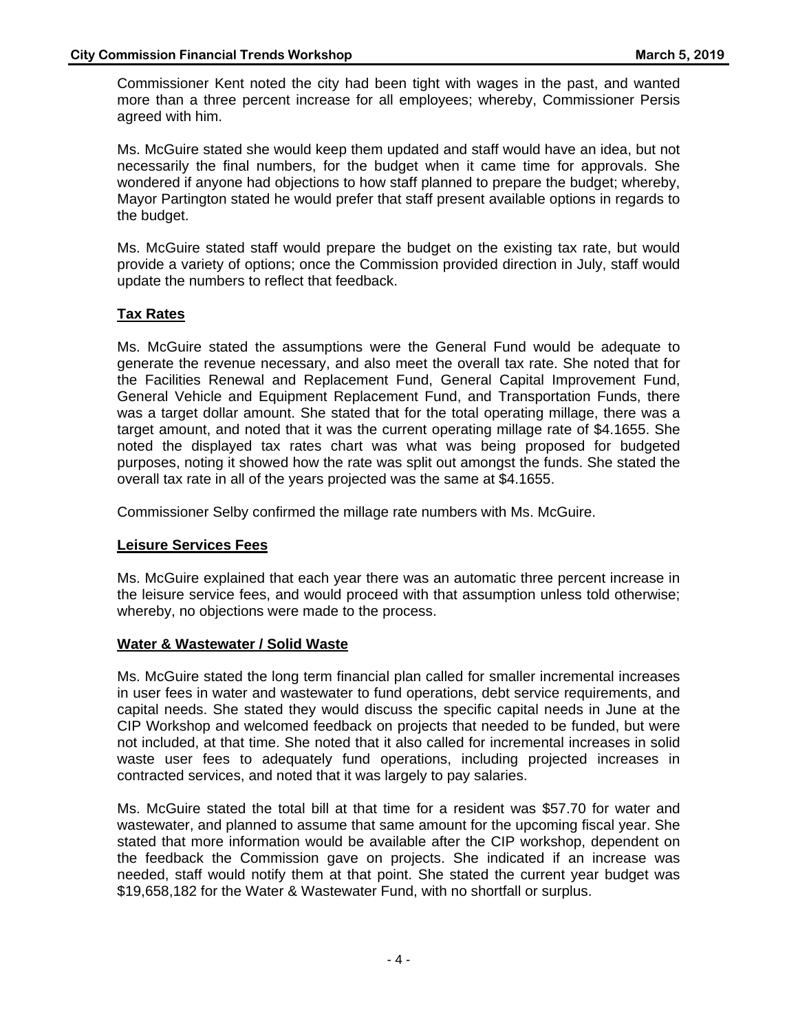Commissioner Kent noted the city had been tight with wages in the past, and wanted more than a three percent increase for all employees; whereby, Commissioner Persis agreed with him.

Ms. McGuire stated she would keep them updated and staff would have an idea, but not necessarily the final numbers, for the budget when it came time for approvals. She wondered if anyone had objections to how staff planned to prepare the budget; whereby, Mayor Partington stated he would prefer that staff present available options in regards to the budget.

Ms. McGuire stated staff would prepare the budget on the existing tax rate, but would provide a variety of options; once the Commission provided direction in July, staff would update the numbers to reflect that feedback.

## **Tax Rates**

Ms. McGuire stated the assumptions were the General Fund would be adequate to generate the revenue necessary, and also meet the overall tax rate. She noted that for the Facilities Renewal and Replacement Fund, General Capital Improvement Fund, General Vehicle and Equipment Replacement Fund, and Transportation Funds, there was a target dollar amount. She stated that for the total operating millage, there was a target amount, and noted that it was the current operating millage rate of \$4.1655. She noted the displayed tax rates chart was what was being proposed for budgeted purposes, noting it showed how the rate was split out amongst the funds. She stated the overall tax rate in all of the years projected was the same at \$4.1655.

Commissioner Selby confirmed the millage rate numbers with Ms. McGuire.

### **Leisure Services Fees**

Ms. McGuire explained that each year there was an automatic three percent increase in the leisure service fees, and would proceed with that assumption unless told otherwise; whereby, no objections were made to the process.

### **Water & Wastewater / Solid Waste**

Ms. McGuire stated the long term financial plan called for smaller incremental increases in user fees in water and wastewater to fund operations, debt service requirements, and capital needs. She stated they would discuss the specific capital needs in June at the CIP Workshop and welcomed feedback on projects that needed to be funded, but were not included, at that time. She noted that it also called for incremental increases in solid waste user fees to adequately fund operations, including projected increases in contracted services, and noted that it was largely to pay salaries.

Ms. McGuire stated the total bill at that time for a resident was \$57.70 for water and wastewater, and planned to assume that same amount for the upcoming fiscal year. She stated that more information would be available after the CIP workshop, dependent on the feedback the Commission gave on projects. She indicated if an increase was needed, staff would notify them at that point. She stated the current year budget was \$19,658,182 for the Water & Wastewater Fund, with no shortfall or surplus.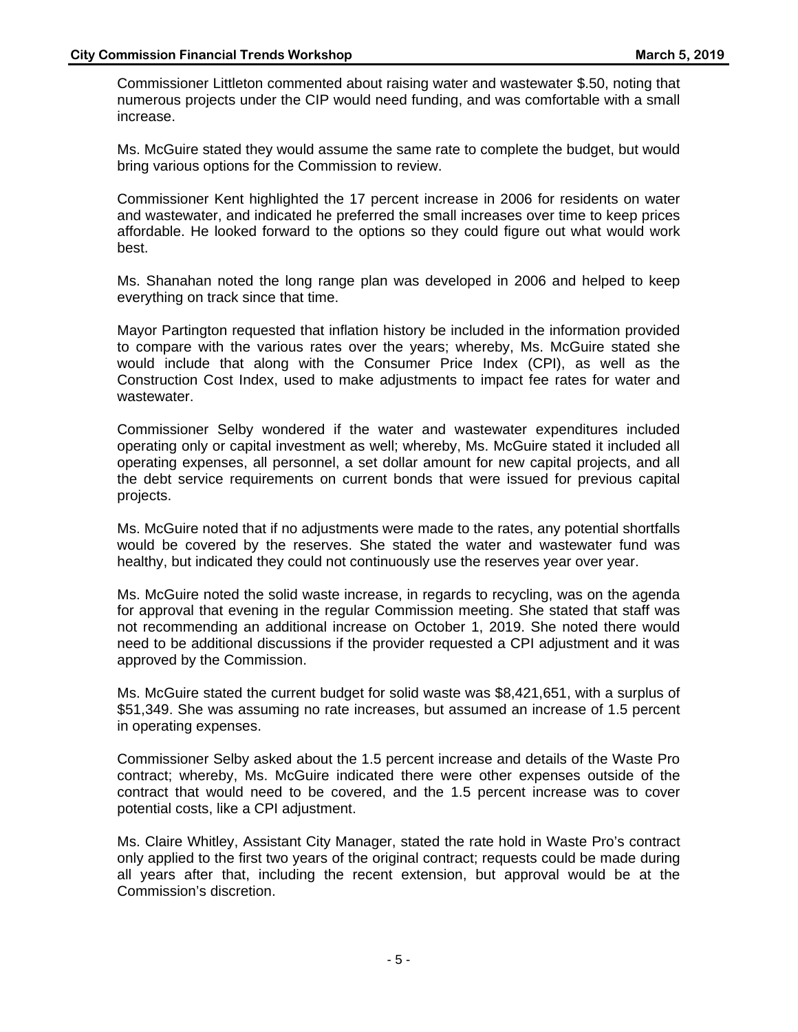Commissioner Littleton commented about raising water and wastewater \$.50, noting that numerous projects under the CIP would need funding, and was comfortable with a small increase.

Ms. McGuire stated they would assume the same rate to complete the budget, but would bring various options for the Commission to review.

Commissioner Kent highlighted the 17 percent increase in 2006 for residents on water and wastewater, and indicated he preferred the small increases over time to keep prices affordable. He looked forward to the options so they could figure out what would work best.

Ms. Shanahan noted the long range plan was developed in 2006 and helped to keep everything on track since that time.

Mayor Partington requested that inflation history be included in the information provided to compare with the various rates over the years; whereby, Ms. McGuire stated she would include that along with the Consumer Price Index (CPI), as well as the Construction Cost Index, used to make adjustments to impact fee rates for water and wastewater.

Commissioner Selby wondered if the water and wastewater expenditures included operating only or capital investment as well; whereby, Ms. McGuire stated it included all operating expenses, all personnel, a set dollar amount for new capital projects, and all the debt service requirements on current bonds that were issued for previous capital projects.

Ms. McGuire noted that if no adjustments were made to the rates, any potential shortfalls would be covered by the reserves. She stated the water and wastewater fund was healthy, but indicated they could not continuously use the reserves year over year.

Ms. McGuire noted the solid waste increase, in regards to recycling, was on the agenda for approval that evening in the regular Commission meeting. She stated that staff was not recommending an additional increase on October 1, 2019. She noted there would need to be additional discussions if the provider requested a CPI adjustment and it was approved by the Commission.

Ms. McGuire stated the current budget for solid waste was \$8,421,651, with a surplus of \$51,349. She was assuming no rate increases, but assumed an increase of 1.5 percent in operating expenses.

Commissioner Selby asked about the 1.5 percent increase and details of the Waste Pro contract; whereby, Ms. McGuire indicated there were other expenses outside of the contract that would need to be covered, and the 1.5 percent increase was to cover potential costs, like a CPI adjustment.

Ms. Claire Whitley, Assistant City Manager, stated the rate hold in Waste Pro's contract only applied to the first two years of the original contract; requests could be made during all years after that, including the recent extension, but approval would be at the Commission's discretion.